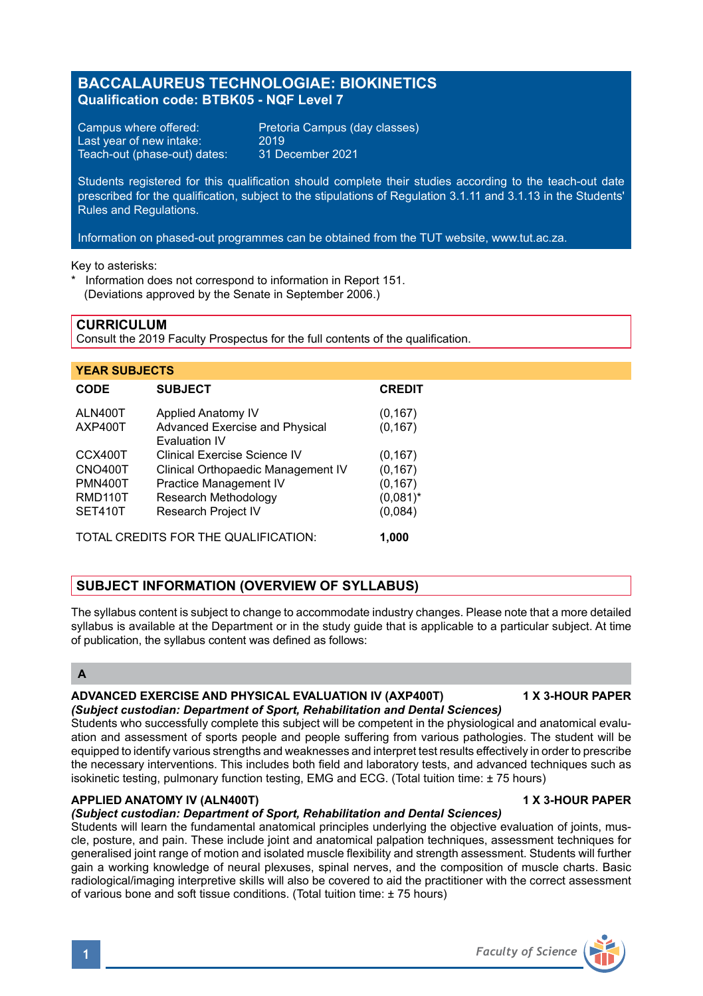# **BACCALAUREUS TECHNOLOGIAE: BIOKINETICS Qualification code: BTBK05 - NQF Level 7**

Last year of new intake: 2019<br>Teach-out (phase-out) dates: 31 December 2021 Teach-out (phase-out) dates:

Campus where offered: Pretoria Campus (day classes)<br>Last vear of new intake: 2019

Students registered for this qualification should complete their studies according to the teach-out date prescribed for the qualification, subject to the stipulations of Regulation 3.1.11 and 3.1.13 in the Students' Rules and Regulations.

Information on phased-out programmes can be obtained from the TUT website, www.tut.ac.za.

Key to asterisks:

Information does not correspond to information in Report 151. (Deviations approved by the Senate in September 2006.)

## **CURRICULUM**

Consult the 2019 Faculty Prospectus for the full contents of the qualification.

| <b>YEAR SUBJECTS</b>                          |                                                               |               |
|-----------------------------------------------|---------------------------------------------------------------|---------------|
| <b>CODE</b>                                   | <b>SUBJECT</b>                                                | <b>CREDIT</b> |
| ALN400T                                       | Applied Anatomy IV                                            | (0, 167)      |
| AXP400T                                       | <b>Advanced Exercise and Physical</b><br><b>Fvaluation IV</b> | (0, 167)      |
| CCX400T                                       | Clinical Exercise Science IV                                  | (0, 167)      |
| CNO400T                                       | Clinical Orthopaedic Management IV                            | (0, 167)      |
| <b>PMN400T</b>                                | Practice Management IV                                        | (0, 167)      |
| RMD110T                                       | Research Methodology                                          | $(0,081)^*$   |
| SET410T                                       | <b>Research Project IV</b>                                    | (0,084)       |
| TOTAL CREDITS FOR THE QUALIFICATION:<br>1.000 |                                                               |               |

# **SUBJECT INFORMATION (OVERVIEW OF SYLLABUS)**

The syllabus content is subject to change to accommodate industry changes. Please note that a more detailed syllabus is available at the Department or in the study guide that is applicable to a particular subject. At time of publication, the syllabus content was defined as follows:

# **A**

# **ADVANCED EXERCISE AND PHYSICAL EVALUATION IV (AXP400T) 1 X 3-HOUR PAPER**

### *(Subject custodian: Department of Sport, Rehabilitation and Dental Sciences)*

Students who successfully complete this subject will be competent in the physiological and anatomical evaluation and assessment of sports people and people suffering from various pathologies. The student will be equipped to identify various strengths and weaknesses and interpret test results effectively in order to prescribe the necessary interventions. This includes both field and laboratory tests, and advanced techniques such as isokinetic testing, pulmonary function testing, EMG and ECG. (Total tuition time: ± 75 hours)

### **APPLIED ANATOMY IV (ALN400T) 1 X 3-HOUR PAPER**

### *(Subject custodian: Department of Sport, Rehabilitation and Dental Sciences)*

Students will learn the fundamental anatomical principles underlying the objective evaluation of joints, muscle, posture, and pain. These include joint and anatomical palpation techniques, assessment techniques for generalised joint range of motion and isolated muscle flexibility and strength assessment. Students will further gain a working knowledge of neural plexuses, spinal nerves, and the composition of muscle charts. Basic radiological/imaging interpretive skills will also be covered to aid the practitioner with the correct assessment of various bone and soft tissue conditions. (Total tuition time: ± 75 hours)